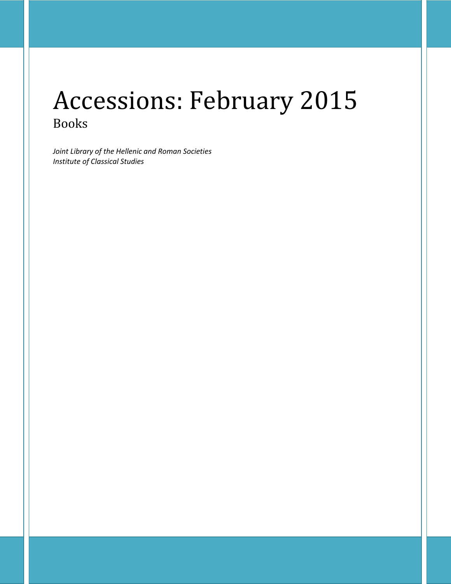# Accessions: February 2015 Books

*Joint Library of the Hellenic and Roman Societies Institute of Classical Studies*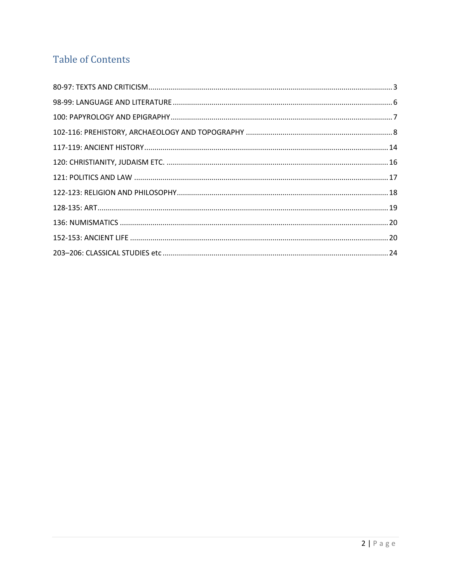## **Table of Contents**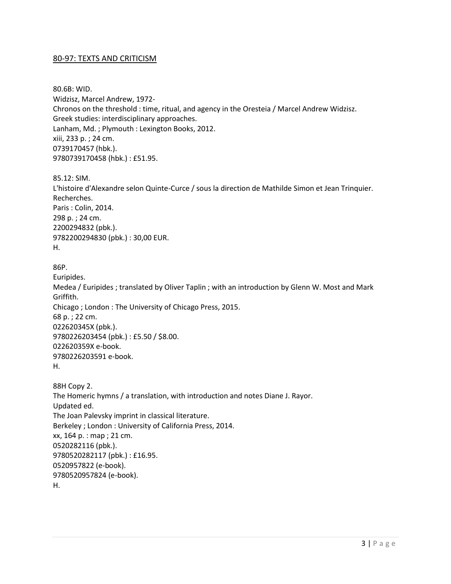#### <span id="page-2-0"></span>80-97: TEXTS AND CRITICISM

80.6B: WID. Widzisz, Marcel Andrew, 1972- Chronos on the threshold : time, ritual, and agency in the Oresteia / Marcel Andrew Widzisz. Greek studies: interdisciplinary approaches. Lanham, Md. ; Plymouth : Lexington Books, 2012. xiii, 233 p. ; 24 cm. 0739170457 (hbk.). 9780739170458 (hbk.) : £51.95.

85.12: SIM.

L'histoire d'Alexandre selon Quinte-Curce / sous la direction de Mathilde Simon et Jean Trinquier. Recherches. Paris : Colin, 2014. 298 p. ; 24 cm. 2200294832 (pbk.). 9782200294830 (pbk.) : 30,00 EUR. H.

```
86P.
```
Euripides.

Medea / Euripides ; translated by Oliver Taplin ; with an introduction by Glenn W. Most and Mark Griffith. Chicago ; London : The University of Chicago Press, 2015. 68 p. ; 22 cm. 022620345X (pbk.). 9780226203454 (pbk.) : £5.50 / \$8.00. 022620359X e-book. 9780226203591 e-book. H.

```
88H Copy 2. 
The Homeric hymns / a translation, with introduction and notes Diane J. Rayor.
Updated ed.
The Joan Palevsky imprint in classical literature. 
Berkeley ; London : University of California Press, 2014.
xx, 164 p. : map ; 21 cm.
0520282116 (pbk.). 
9780520282117 (pbk.) : £16.95. 
0520957822 (e-book). 
9780520957824 (e-book). 
H.
```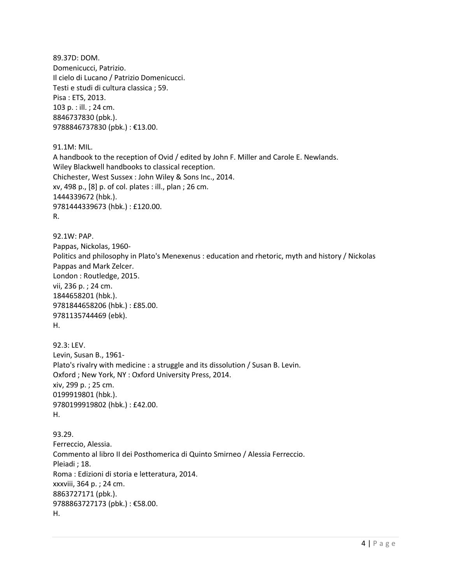89.37D: DOM. Domenicucci, Patrizio. Il cielo di Lucano / Patrizio Domenicucci. Testi e studi di cultura classica ; 59. Pisa : ETS, 2013. 103 p. : ill. ; 24 cm. 8846737830 (pbk.). 9788846737830 (pbk.) : €13.00.

91.1M: MIL. A handbook to the reception of Ovid / edited by John F. Miller and Carole E. Newlands. Wiley Blackwell handbooks to classical reception. Chichester, West Sussex : John Wiley & Sons Inc., 2014. xv, 498 p., [8] p. of col. plates : ill., plan ; 26 cm. 1444339672 (hbk.). 9781444339673 (hbk.) : £120.00. R.

92.1W: PAP. Pappas, Nickolas, 1960- Politics and philosophy in Plato's Menexenus : education and rhetoric, myth and history / Nickolas Pappas and Mark Zelcer. London : Routledge, 2015. vii, 236 p. ; 24 cm. 1844658201 (hbk.). 9781844658206 (hbk.) : £85.00. 9781135744469 (ebk). H.

```
92.3: LEV. 
Levin, Susan B., 1961-
Plato's rivalry with medicine : a struggle and its dissolution / Susan B. Levin.
Oxford ; New York, NY : Oxford University Press, 2014.
xiv, 299 p. ; 25 cm.
0199919801 (hbk.). 
9780199919802 (hbk.) : £42.00. 
H.
```
93.29. Ferreccio, Alessia. Commento al libro II dei Posthomerica di Quinto Smirneo / Alessia Ferreccio. Pleiadi ; 18. Roma : Edizioni di storia e letteratura, 2014. xxxviii, 364 p. ; 24 cm. 8863727171 (pbk.). 9788863727173 (pbk.) : €58.00. H.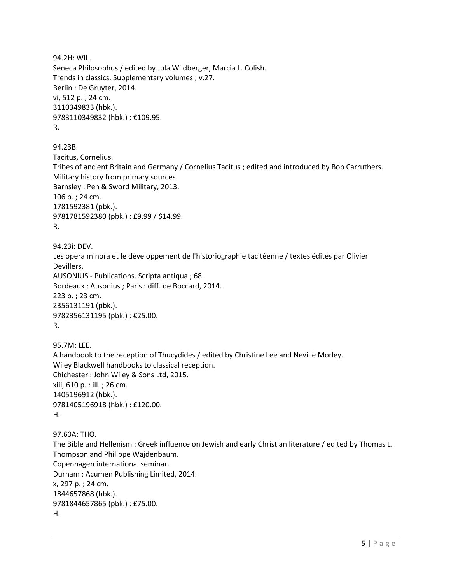94.2H: WIL. Seneca Philosophus / edited by Jula Wildberger, Marcia L. Colish. Trends in classics. Supplementary volumes ; v.27. Berlin : De Gruyter, 2014. vi, 512 p. ; 24 cm. 3110349833 (hbk.). 9783110349832 (hbk.) : €109.95. R. 94.23B. Tacitus, Cornelius. Tribes of ancient Britain and Germany / Cornelius Tacitus ; edited and introduced by Bob Carruthers. Military history from primary sources. Barnsley : Pen & Sword Military, 2013. 106 p. ; 24 cm. 1781592381 (pbk.). 9781781592380 (pbk.) : £9.99 / \$14.99. R. 94.23i: DEV. Les opera minora et le développement de l'historiographie tacitéenne / textes édités par Olivier Devillers. AUSONIUS - Publications. Scripta antiqua ; 68. Bordeaux : Ausonius ; Paris : diff. de Boccard, 2014. 223 p. ; 23 cm. 2356131191 (pbk.). 9782356131195 (pbk.) : €25.00. R. 95.7M: LEE. A handbook to the reception of Thucydides / edited by Christine Lee and Neville Morley. Wiley Blackwell handbooks to classical reception. Chichester : John Wiley & Sons Ltd, 2015.

97.60A: THO.

H.

xiii, 610 p. : ill. ; 26 cm. 1405196912 (hbk.).

9781405196918 (hbk.) : £120.00.

The Bible and Hellenism : Greek influence on Jewish and early Christian literature / edited by Thomas L. Thompson and Philippe Wajdenbaum. Copenhagen international seminar. Durham : Acumen Publishing Limited, 2014. x, 297 p. ; 24 cm. 1844657868 (hbk.). 9781844657865 (pbk.) : £75.00. H.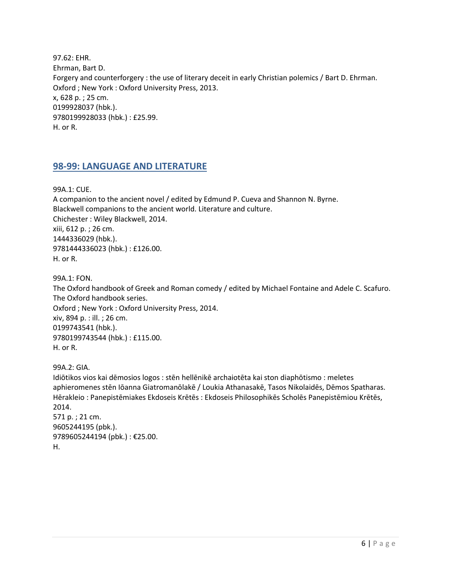97.62: EHR. Ehrman, Bart D. Forgery and counterforgery : the use of literary deceit in early Christian polemics / Bart D. Ehrman. Oxford ; New York : Oxford University Press, 2013. x, 628 p. ; 25 cm. 0199928037 (hbk.). 9780199928033 (hbk.) : £25.99. H. or R.

## <span id="page-5-0"></span>**98-99: LANGUAGE AND LITERATURE**

99A.1: CUE.

A companion to the ancient novel / edited by Edmund P. Cueva and Shannon N. Byrne. Blackwell companions to the ancient world. Literature and culture. Chichester : Wiley Blackwell, 2014. xiii, 612 p. ; 26 cm. 1444336029 (hbk.). 9781444336023 (hbk.) : £126.00. H. or R.

99A.1: FON.

The Oxford handbook of Greek and Roman comedy / edited by Michael Fontaine and Adele C. Scafuro. The Oxford handbook series. Oxford ; New York : Oxford University Press, 2014. xiv, 894 p. : ill. ; 26 cm. 0199743541 (hbk.). 9780199743544 (hbk.) : £115.00. H. or R.

99A.2: GIA.

Idiōtikos vios kai dēmosios logos : stēn hellēnikē archaiotēta kai ston diaphōtismo : meletes aphieromenes stēn Iōanna Giatromanōlakē / Loukia Athanasakē, Tasos Nikolaidēs, Dēmos Spatharas. Hērakleio : Panepistēmiakes Ekdoseis Krētēs : Ekdoseis Philosophikēs Scholēs Panepistēmiou Krētēs, 2014. 571 p. ; 21 cm. 9605244195 (pbk.). 9789605244194 (pbk.) : €25.00.

H.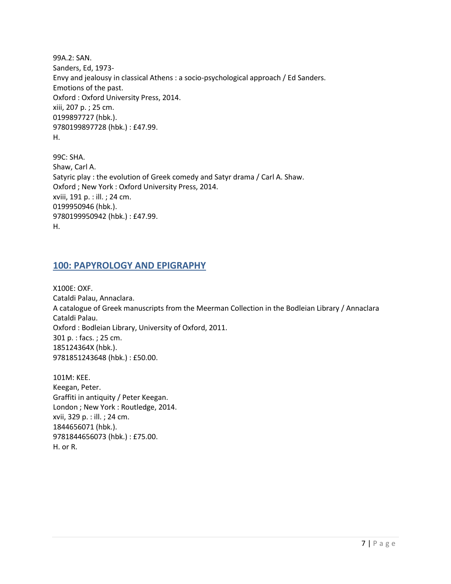99A.2: SAN. Sanders, Ed, 1973- Envy and jealousy in classical Athens : a socio-psychological approach / Ed Sanders. Emotions of the past. Oxford : Oxford University Press, 2014. xiii, 207 p. ; 25 cm. 0199897727 (hbk.). 9780199897728 (hbk.) : £47.99. H.

99C: SHA. Shaw, Carl A. Satyric play : the evolution of Greek comedy and Satyr drama / Carl A. Shaw. Oxford ; New York : Oxford University Press, 2014. xviii, 191 p. : ill. ; 24 cm. 0199950946 (hbk.). 9780199950942 (hbk.) : £47.99. H.

#### <span id="page-6-0"></span>**100: PAPYROLOGY AND EPIGRAPHY**

X100E: OXF. Cataldi Palau, Annaclara. A catalogue of Greek manuscripts from the Meerman Collection in the Bodleian Library / Annaclara Cataldi Palau. Oxford : Bodleian Library, University of Oxford, 2011. 301 p. : facs. ; 25 cm. 185124364X (hbk.). 9781851243648 (hbk.) : £50.00.

101M: KEE. Keegan, Peter. Graffiti in antiquity / Peter Keegan. London ; New York : Routledge, 2014. xvii, 329 p. : ill. ; 24 cm. 1844656071 (hbk.). 9781844656073 (hbk.) : £75.00. H. or R.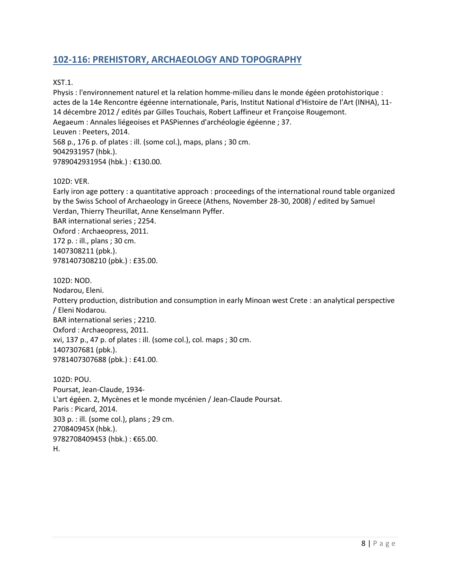## <span id="page-7-0"></span>**102-116: PREHISTORY, ARCHAEOLOGY AND TOPOGRAPHY**

#### XST.1.

Physis : l'environnement naturel et la relation homme-milieu dans le monde égéen protohistorique : actes de la 14e Rencontre égéenne internationale, Paris, Institut National d'Histoire de l'Art (INHA), 11- 14 décembre 2012 / edités par Gilles Touchais, Robert Laffineur et Françoise Rougemont. Aegaeum : Annales liégeoises et PASPiennes d'archéologie égéenne ; 37. Leuven : Peeters, 2014. 568 p., 176 p. of plates : ill. (some col.), maps, plans ; 30 cm. 9042931957 (hbk.). 9789042931954 (hbk.) : €130.00.

#### 102D: VER.

Early iron age pottery : a quantitative approach : proceedings of the international round table organized by the Swiss School of Archaeology in Greece (Athens, November 28-30, 2008) / edited by Samuel Verdan, Thierry Theurillat, Anne Kenselmann Pyffer. BAR international series ; 2254. Oxford : Archaeopress, 2011. 172 p. : ill., plans ; 30 cm. 1407308211 (pbk.). 9781407308210 (pbk.) : £35.00.

102D: NOD. Nodarou, Eleni. Pottery production, distribution and consumption in early Minoan west Crete : an analytical perspective / Eleni Nodarou. BAR international series ; 2210. Oxford : Archaeopress, 2011. xvi, 137 p., 47 p. of plates : ill. (some col.), col. maps ; 30 cm. 1407307681 (pbk.). 9781407307688 (pbk.) : £41.00.

102D: POU. Poursat, Jean-Claude, 1934- L'art égéen. 2, Mycènes et le monde mycénien / Jean-Claude Poursat. Paris : Picard, 2014. 303 p. : ill. (some col.), plans ; 29 cm. 270840945X (hbk.). 9782708409453 (hbk.) : €65.00. H.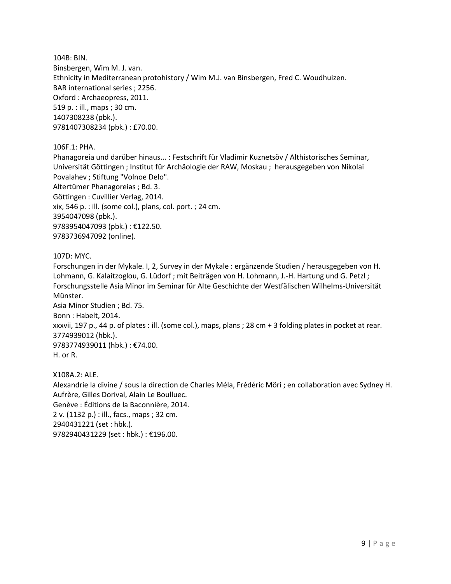104B: BIN. Binsbergen, Wim M. J. van. Ethnicity in Mediterranean protohistory / Wim M.J. van Binsbergen, Fred C. Woudhuizen. BAR international series ; 2256. Oxford : Archaeopress, 2011. 519 p. : ill., maps ; 30 cm. 1407308238 (pbk.). 9781407308234 (pbk.) : £70.00.

106F.1: PHA.

Phanagoreia und darüber hinaus... : Festschrift für Vladimir Kuznetsov / Althistorisches Seminar, Universität Göttingen ; Institut für Archäologie der RAW, Moskau ; herausgegeben von Nikolai Povalahev ; Stiftung "Volnoe Delo". Altertümer Phanagoreias ; Bd. 3. Göttingen : Cuvillier Verlag, 2014. xix, 546 p. : ill. (some col.), plans, col. port. ; 24 cm. 3954047098 (pbk.). 9783954047093 (pbk.) : €122.50. 9783736947092 (online).

#### 107D: MYC.

Forschungen in der Mykale. I, 2, Survey in der Mykale : ergänzende Studien / herausgegeben von H. Lohmann, G. Kalaitzoglou, G. Lüdorf ; mit Beiträgen von H. Lohmann, J.-H. Hartung und G. Petzl ; Forschungsstelle Asia Minor im Seminar für Alte Geschichte der Westfälischen Wilhelms-Universität Münster.

Asia Minor Studien ; Bd. 75. Bonn : Habelt, 2014. xxxvii, 197 p., 44 p. of plates : ill. (some col.), maps, plans ; 28 cm + 3 folding plates in pocket at rear. 3774939012 (hbk.). 9783774939011 (hbk.) : €74.00. H. or R.

X108A.2: ALE. Alexandrie la divine / sous la direction de Charles Méla, Frédéric Möri ; en collaboration avec Sydney H. Aufrère, Gilles Dorival, Alain Le Boulluec. Genève : Éditions de la Baconnière, 2014. 2 v. (1132 p.) : ill., facs., maps ; 32 cm. 2940431221 (set : hbk.). 9782940431229 (set : hbk.) : €196.00.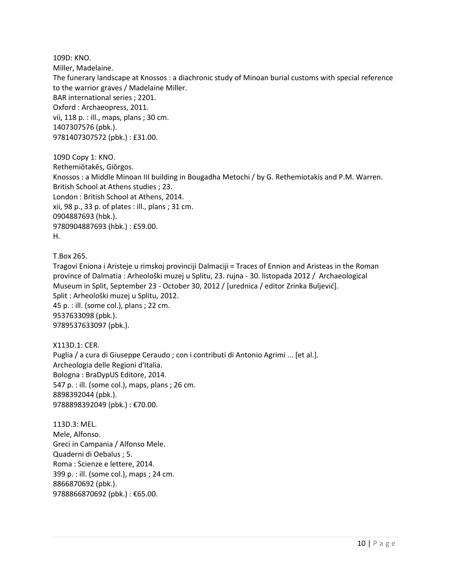109D: KNO. Miller, Madelaine. The funerary landscape at Knossos : a diachronic study of Minoan burial customs with special reference to the warrior graves / Madelaine Miller. BAR international series ; 2201. Oxford : Archaeopress, 2011. vii, 118 p. : ill., maps, plans ; 30 cm. 1407307576 (pbk.). 9781407307572 (pbk.) : £31.00.

109D Copy 1: KNO. Rethemiōtakēs, Giōrgos. Knossos : a Middle Minoan III building in Bougadha Metochi / by G. Rethemiotakis and P.M. Warren. British School at Athens studies ; 23. London : British School at Athens, 2014. xii, 98 p., 33 p. of plates : ill., plans ; 31 cm. 0904887693 (hbk.). 9780904887693 (hbk.) : £59.00. H.

T.Box 265.

Tragovi Eniona i Aristeje u rimskoj provinciji Dalmaciji = Traces of Ennion and Aristeas in the Roman province of Dalmatia : Arheološki muzej u Splitu, 23. rujna - 30. listopada 2012 / Archaeological Museum in Split, September 23 - October 30, 2012 / [urednica / editor Zrinka Buljević]. Split : Arheološki muzej u Splitu, 2012. 45 p. : ill. (some col.), plans ; 22 cm. 9537633098 (pbk.). 9789537633097 (pbk.).

X113D.1: CER. Puglia / a cura di Giuseppe Ceraudo ; con i contributi di Antonio Agrimi ... [et al.]. Archeologia delle Regioni d'Italia. Bologna : BraDypUS Editore, 2014. 547 p. : ill. (some col.), maps, plans ; 26 cm. 8898392044 (pbk.). 9788898392049 (pbk.) : €70.00.

113D.3: MEL. Mele, Alfonso. Greci in Campania / Alfonso Mele. Quaderni di Oebalus ; 5. Roma : Scienze e lettere, 2014. 399 p. : ill. (some col.), maps ; 24 cm. 8866870692 (pbk.). 9788866870692 (pbk.) : €65.00.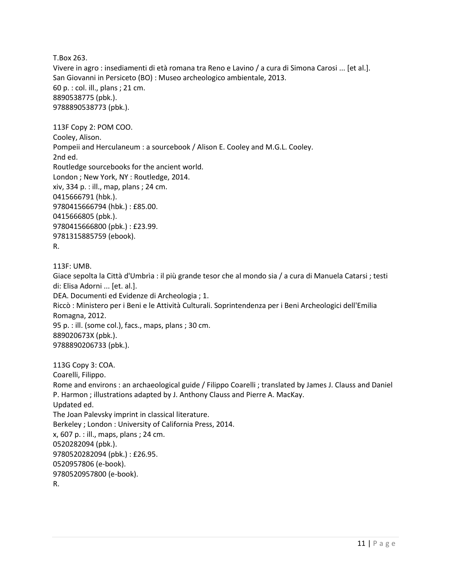T.Box 263.

Vivere in agro : insediamenti di età romana tra Reno e Lavino / a cura di Simona Carosi ... [et al.]. San Giovanni in Persiceto (BO) : Museo archeologico ambientale, 2013. 60 p. : col. ill., plans ; 21 cm. 8890538775 (pbk.). 9788890538773 (pbk.).

113F Copy 2: POM COO.

Cooley, Alison. Pompeii and Herculaneum : a sourcebook / Alison E. Cooley and M.G.L. Cooley. 2nd ed. Routledge sourcebooks for the ancient world. London ; New York, NY : Routledge, 2014. xiv, 334 p. : ill., map, plans ; 24 cm. 0415666791 (hbk.). 9780415666794 (hbk.) : £85.00. 0415666805 (pbk.). 9780415666800 (pbk.) : £23.99. 9781315885759 (ebook).

```
R.
```
113F: UMB. Giace sepolta la Città d'Umbrìa : il più grande tesor che al mondo sia / a cura di Manuela Catarsi ; testi di: Elisa Adorni ... [et. al.]. DEA. Documenti ed Evidenze di Archeologia ; 1. Riccò : Ministero per i Beni e le Attività Culturali. Soprintendenza per i Beni Archeologici dell'Emilia Romagna, 2012. 95 p. : ill. (some col.), facs., maps, plans ; 30 cm. 889020673X (pbk.). 9788890206733 (pbk.).

113G Copy 3: COA. Coarelli, Filippo. Rome and environs : an archaeological guide / Filippo Coarelli ; translated by James J. Clauss and Daniel P. Harmon ; illustrations adapted by J. Anthony Clauss and Pierre A. MacKay. Updated ed. The Joan Palevsky imprint in classical literature. Berkeley ; London : University of California Press, 2014. x, 607 p. : ill., maps, plans ; 24 cm. 0520282094 (pbk.). 9780520282094 (pbk.) : £26.95. 0520957806 (e-book). 9780520957800 (e-book). R.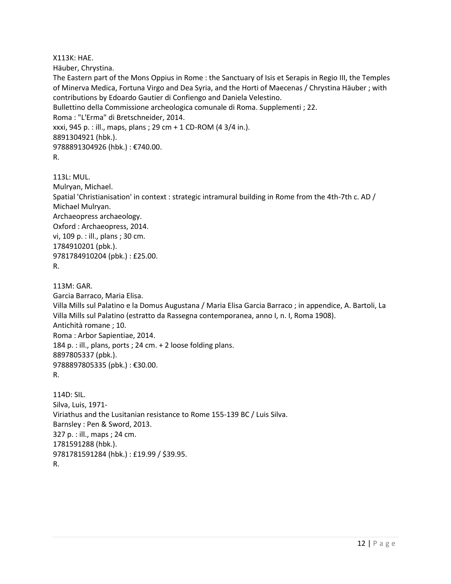X113K: HAE.

Häuber, Chrystina.

The Eastern part of the Mons Oppius in Rome : the Sanctuary of Isis et Serapis in Regio III, the Temples of Minerva Medica, Fortuna Virgo and Dea Syria, and the Horti of Maecenas / Chrystina Häuber ; with contributions by Edoardo Gautier di Confiengo and Daniela Velestino.

Bullettino della Commissione archeologica comunale di Roma. Supplementi ; 22.

Roma : "L'Erma" di Bretschneider, 2014.

xxxi, 945 p. : ill., maps, plans ; 29 cm + 1 CD-ROM (4 3/4 in.).

8891304921 (hbk.).

9788891304926 (hbk.) : €740.00.

```
R.
```
113L: MUL. Mulryan, Michael. Spatial 'Christianisation' in context : strategic intramural building in Rome from the 4th-7th c. AD / Michael Mulryan. Archaeopress archaeology. Oxford : Archaeopress, 2014. vi, 109 p. : ill., plans ; 30 cm. 1784910201 (pbk.). 9781784910204 (pbk.) : £25.00. R.

113M: GAR. Garcia Barraco, Maria Elisa. Villa Mills sul Palatino e la Domus Augustana / Maria Elisa Garcia Barraco ; in appendice, A. Bartoli, La Villa Mills sul Palatino (estratto da Rassegna contemporanea, anno I, n. I, Roma 1908). Antichità romane ; 10. Roma : Arbor Sapientiae, 2014. 184 p. : ill., plans, ports ; 24 cm. + 2 loose folding plans. 8897805337 (pbk.). 9788897805335 (pbk.) : €30.00. R.

114D: SIL. Silva, Luis, 1971- Viriathus and the Lusitanian resistance to Rome 155-139 BC / Luis Silva. Barnsley : Pen & Sword, 2013. 327 p. : ill., maps ; 24 cm. 1781591288 (hbk.). 9781781591284 (hbk.) : £19.99 / \$39.95. R.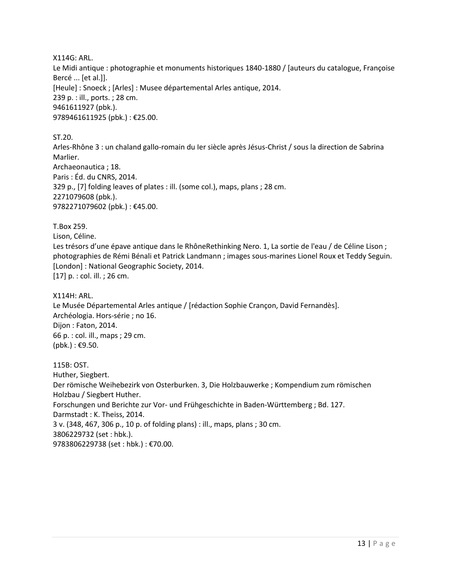X114G: ARL. Le Midi antique : photographie et monuments historiques 1840-1880 / [auteurs du catalogue, Françoise Bercé ... [et al.]]. [Heule] : Snoeck ; [Arles] : Musee départemental Arles antique, 2014. 239 p. : ill., ports. ; 28 cm. 9461611927 (pbk.). 9789461611925 (pbk.) : €25.00.

ST.20.

Arles-Rhône 3 : un chaland gallo-romain du Ier siècle après Jésus-Christ / sous la direction de Sabrina Marlier. Archaeonautica ; 18. Paris : Éd. du CNRS, 2014. 329 p., [7] folding leaves of plates : ill. (some col.), maps, plans ; 28 cm. 2271079608 (pbk.). 9782271079602 (pbk.): €45.00.

T.Box 259.

Lison, Céline.

Les trésors d'une épave antique dans le RhôneRethinking Nero. 1, La sortie de l'eau / de Céline Lison ; photographies de Rémi Bénali et Patrick Landmann ; images sous-marines Lionel Roux et Teddy Seguin. [London] : National Geographic Society, 2014. [17] p. : col. ill. ; 26 cm.

X114H: ARL. Le Musée Départemental Arles antique / [rédaction Sophie Crançon, David Fernandès]. Archéologia. Hors-série ; no 16. Dijon : Faton, 2014. 66 p. : col. ill., maps ; 29 cm.  $(pbk.)$ : €9.50.

115B: OST. Huther, Siegbert. Der römische Weihebezirk von Osterburken. 3, Die Holzbauwerke ; Kompendium zum römischen Holzbau / Siegbert Huther. Forschungen und Berichte zur Vor- und Frühgeschichte in Baden-Württemberg ; Bd. 127. Darmstadt : K. Theiss, 2014. 3 v. (348, 467, 306 p., 10 p. of folding plans) : ill., maps, plans ; 30 cm. 3806229732 (set : hbk.). 9783806229738 (set : hbk.) : €70.00.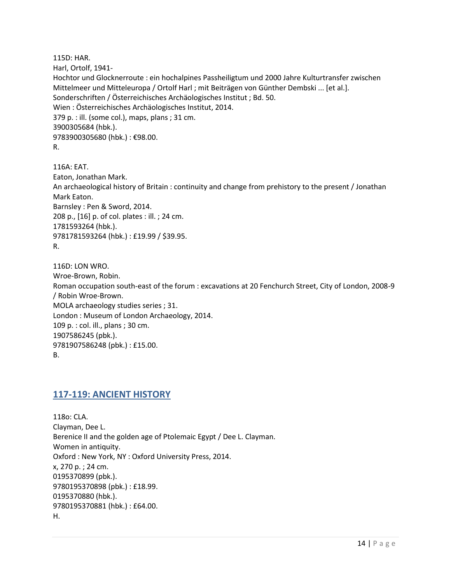115D: HAR. Harl, Ortolf, 1941- Hochtor und Glocknerroute : ein hochalpines Passheiligtum und 2000 Jahre Kulturtransfer zwischen Mittelmeer und Mitteleuropa / Ortolf Harl ; mit Beiträgen von Günther Dembski ... [et al.]. Sonderschriften / Österreichisches Archäologisches Institut ; Bd. 50. Wien : Österreichisches Archäologisches Institut, 2014. 379 p. : ill. (some col.), maps, plans ; 31 cm. 3900305684 (hbk.). 9783900305680 (hbk.) : €98.00. R.

116A: EAT. Eaton, Jonathan Mark. An archaeological history of Britain : continuity and change from prehistory to the present / Jonathan Mark Eaton. Barnsley : Pen & Sword, 2014. 208 p., [16] p. of col. plates : ill. ; 24 cm. 1781593264 (hbk.). 9781781593264 (hbk.) : £19.99 / \$39.95. R.

116D: LON WRO. Wroe-Brown, Robin. Roman occupation south-east of the forum : excavations at 20 Fenchurch Street, City of London, 2008-9 / Robin Wroe-Brown. MOLA archaeology studies series ; 31. London : Museum of London Archaeology, 2014. 109 p. : col. ill., plans ; 30 cm. 1907586245 (pbk.). 9781907586248 (pbk.) : £15.00. B.

#### <span id="page-13-0"></span>**117-119: ANCIENT HISTORY**

118o: CLA. Clayman, Dee L. Berenice II and the golden age of Ptolemaic Egypt / Dee L. Clayman. Women in antiquity. Oxford : New York, NY : Oxford University Press, 2014. x, 270 p. ; 24 cm. 0195370899 (pbk.). 9780195370898 (pbk.) : £18.99. 0195370880 (hbk.). 9780195370881 (hbk.) : £64.00. H.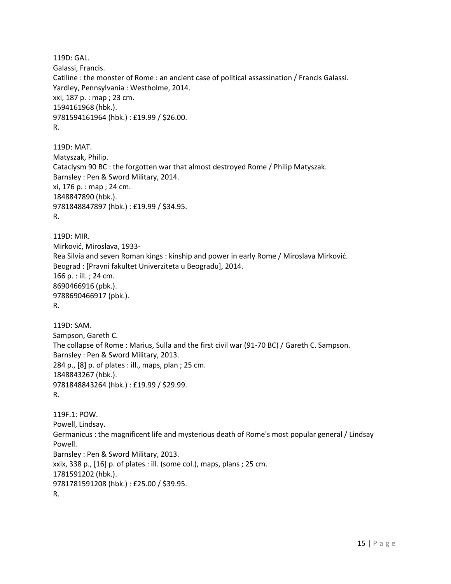119D: GAL. Galassi, Francis. Catiline : the monster of Rome : an ancient case of political assassination / Francis Galassi. Yardley, Pennsylvania : Westholme, 2014. xxi, 187 p. : map ; 23 cm. 1594161968 (hbk.). 9781594161964 (hbk.) : £19.99 / \$26.00. R.

119D: MAT. Matyszak, Philip. Cataclysm 90 BC : the forgotten war that almost destroyed Rome / Philip Matyszak. Barnsley : Pen & Sword Military, 2014. xi, 176 p. : map ; 24 cm. 1848847890 (hbk.). 9781848847897 (hbk.) : £19.99 / \$34.95. R.

119D: MIR. Mirković, Miroslava, 1933- Rea Silvia and seven Roman kings : kinship and power in early Rome / Miroslava Mirković. Beograd : [Pravni fakultet Univerziteta u Beogradu], 2014. 166 p. : ill. ; 24 cm. 8690466916 (pbk.). 9788690466917 (pbk.). R.

119D: SAM. Sampson, Gareth C. The collapse of Rome : Marius, Sulla and the first civil war (91-70 BC) / Gareth C. Sampson. Barnsley : Pen & Sword Military, 2013. 284 p., [8] p. of plates : ill., maps, plan ; 25 cm. 1848843267 (hbk.). 9781848843264 (hbk.) : £19.99 / \$29.99. R.

119F.1: POW. Powell, Lindsay. Germanicus : the magnificent life and mysterious death of Rome's most popular general / Lindsay Powell. Barnsley : Pen & Sword Military, 2013. xxix, 338 p., [16] p. of plates : ill. (some col.), maps, plans ; 25 cm. 1781591202 (hbk.). 9781781591208 (hbk.) : £25.00 / \$39.95. R.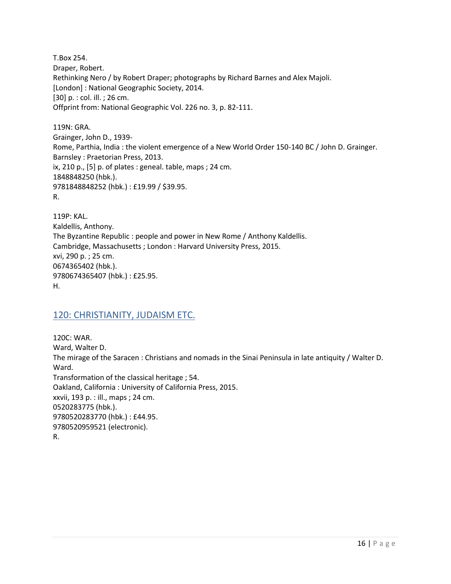T.Box 254. Draper, Robert. Rethinking Nero / by Robert Draper; photographs by Richard Barnes and Alex Majoli. [London] : National Geographic Society, 2014. [30] p. : col. ill. ; 26 cm. Offprint from: National Geographic Vol. 226 no. 3, p. 82-111.

119N: GRA. Grainger, John D., 1939- Rome, Parthia, India : the violent emergence of a New World Order 150-140 BC / John D. Grainger. Barnsley : Praetorian Press, 2013. ix, 210 p., [5] p. of plates : geneal. table, maps ; 24 cm. 1848848250 (hbk.). 9781848848252 (hbk.) : £19.99 / \$39.95. R.

119P: KAL. Kaldellis, Anthony. The Byzantine Republic : people and power in New Rome / Anthony Kaldellis. Cambridge, Massachusetts ; London : Harvard University Press, 2015. xvi, 290 p. ; 25 cm. 0674365402 (hbk.). 9780674365407 (hbk.) : £25.95. H.

#### <span id="page-15-0"></span>120: CHRISTIANITY, JUDAISM ETC.

120C: WAR. Ward, Walter D. The mirage of the Saracen : Christians and nomads in the Sinai Peninsula in late antiquity / Walter D. Ward. Transformation of the classical heritage ; 54. Oakland, California : University of California Press, 2015. xxvii, 193 p. : ill., maps ; 24 cm. 0520283775 (hbk.). 9780520283770 (hbk.) : £44.95. 9780520959521 (electronic). R.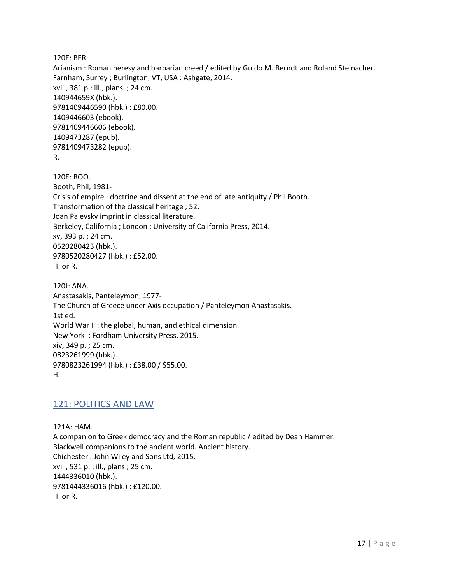120E: BER.

Arianism : Roman heresy and barbarian creed / edited by Guido M. Berndt and Roland Steinacher. Farnham, Surrey ; Burlington, VT, USA : Ashgate, 2014. xviii, 381 p.: ill., plans ; 24 cm. 140944659X (hbk.). 9781409446590 (hbk.) : £80.00. 1409446603 (ebook). 9781409446606 (ebook). 1409473287 (epub). 9781409473282 (epub). R.

120E: BOO. Booth, Phil, 1981- Crisis of empire : doctrine and dissent at the end of late antiquity / Phil Booth. Transformation of the classical heritage ; 52. Joan Palevsky imprint in classical literature. Berkeley, California ; London : University of California Press, 2014. xv, 393 p. ; 24 cm. 0520280423 (hbk.). 9780520280427 (hbk.) : £52.00. H. or R.

120J: ANA. Anastasakis, Panteleymon, 1977- The Church of Greece under Axis occupation / Panteleymon Anastasakis. 1st ed. World War II : the global, human, and ethical dimension. New York : Fordham University Press, 2015. xiv, 349 p. ; 25 cm. 0823261999 (hbk.). 9780823261994 (hbk.) : £38.00 / \$55.00. H.

## <span id="page-16-0"></span>121: POLITICS AND LAW

121A: HAM. A companion to Greek democracy and the Roman republic / edited by Dean Hammer. Blackwell companions to the ancient world. Ancient history. Chichester : John Wiley and Sons Ltd, 2015. xviii, 531 p. : ill., plans ; 25 cm. 1444336010 (hbk.). 9781444336016 (hbk.) : £120.00. H. or R.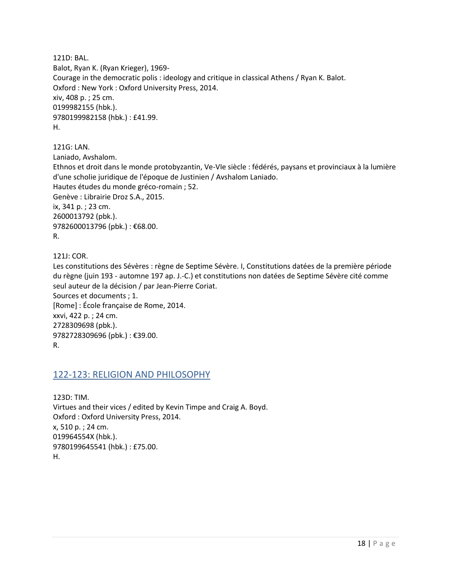121D: BAL. Balot, Ryan K. (Ryan Krieger), 1969- Courage in the democratic polis : ideology and critique in classical Athens / Ryan K. Balot. Oxford : New York : Oxford University Press, 2014. xiv, 408 p. ; 25 cm. 0199982155 (hbk.). 9780199982158 (hbk.) : £41.99. H.

121G: LAN.

Laniado, Avshalom.

Ethnos et droit dans le monde protobyzantin, Ve-VIe siècle : fédérés, paysans et provinciaux à la lumière d'une scholie juridique de l'époque de Justinien / Avshalom Laniado. Hautes études du monde gréco-romain ; 52. Genève : Librairie Droz S.A., 2015. ix, 341 p. ; 23 cm. 2600013792 (pbk.). 9782600013796 (pbk.): €68.00. R.

121J: COR.

Les constitutions des Sévères : règne de Septime Sévère. I, Constitutions datées de la première période du règne (juin 193 - automne 197 ap. J.-C.) et constitutions non datées de Septime Sévère cité comme seul auteur de la décision / par Jean-Pierre Coriat. Sources et documents ; 1. [Rome] : École française de Rome, 2014. xxvi, 422 p. ; 24 cm. 2728309698 (pbk.). 9782728309696 (pbk.) : €39.00. R.

#### <span id="page-17-0"></span>122-123: RELIGION AND PHILOSOPHY

123D: TIM. Virtues and their vices / edited by Kevin Timpe and Craig A. Boyd. Oxford : Oxford University Press, 2014. x, 510 p. ; 24 cm. 019964554X (hbk.). 9780199645541 (hbk.) : £75.00. H.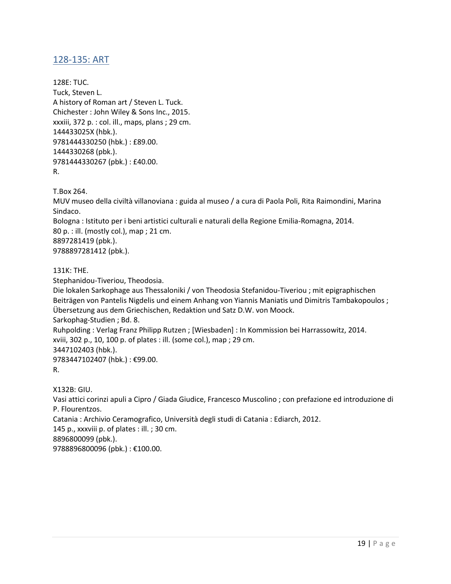## <span id="page-18-0"></span>128-135: ART

128E: TUC. Tuck, Steven L. A history of Roman art / Steven L. Tuck. Chichester : John Wiley & Sons Inc., 2015. xxxiii, 372 p. : col. ill., maps, plans ; 29 cm. 144433025X (hbk.). 9781444330250 (hbk.) : £89.00. 1444330268 (pbk.). 9781444330267 (pbk.) : £40.00. R.

T.Box 264.

MUV museo della civiltà villanoviana : guida al museo / a cura di Paola Poli, Rita Raimondini, Marina Sindaco. Bologna : Istituto per i beni artistici culturali e naturali della Regione Emilia-Romagna, 2014. 80 p. : ill. (mostly col.), map ; 21 cm. 8897281419 (pbk.). 9788897281412 (pbk.).

#### 131K: THE.

Stephanidou-Tiveriou, Theodosia.

Die lokalen Sarkophage aus Thessaloniki / von Theodosia Stefanidou-Tiveriou ; mit epigraphischen Beiträgen von Pantelis Nigdelis und einem Anhang von Yiannis Maniatis und Dimitris Tambakopoulos ; Übersetzung aus dem Griechischen, Redaktion und Satz D.W. von Moock. Sarkophag-Studien ; Bd. 8. Ruhpolding : Verlag Franz Philipp Rutzen ; [Wiesbaden] : In Kommission bei Harrassowitz, 2014. xviii, 302 p., 10, 100 p. of plates : ill. (some col.), map ; 29 cm. 3447102403 (hbk.). 9783447102407 (hbk.) : €99.00. R.

X132B: GIU.

Vasi attici corinzi apuli a Cipro / Giada Giudice, Francesco Muscolino ; con prefazione ed introduzione di P. Flourentzos. Catania : Archivio Ceramografico, Università degli studi di Catania : Ediarch, 2012. 145 p., xxxviii p. of plates : ill. ; 30 cm.

8896800099 (pbk.).

9788896800096 (pbk.) : €100.00.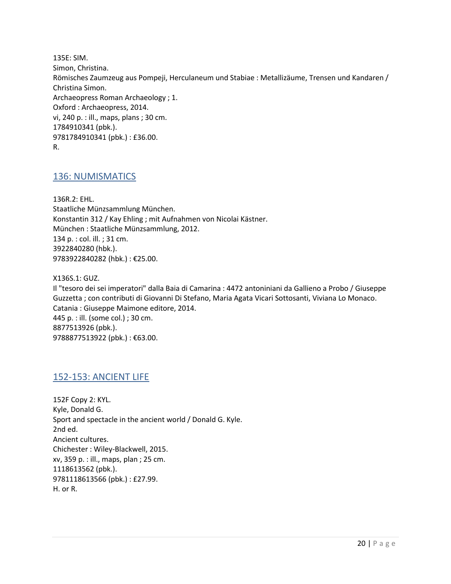135E: SIM. Simon, Christina. Römisches Zaumzeug aus Pompeji, Herculaneum und Stabiae : Metallizäume, Trensen und Kandaren / Christina Simon. Archaeopress Roman Archaeology ; 1. Oxford : Archaeopress, 2014. vi, 240 p. : ill., maps, plans ; 30 cm. 1784910341 (pbk.). 9781784910341 (pbk.) : £36.00. R.

#### <span id="page-19-0"></span>136: NUMISMATICS

136R.2: EHL. Staatliche Münzsammlung München. Konstantin 312 / Kay Ehling ; mit Aufnahmen von Nicolai Kästner. München : Staatliche Münzsammlung, 2012. 134 p. : col. ill. ; 31 cm. 3922840280 (hbk.). 9783922840282 (hbk.) : €25.00.

X136S.1: GUZ.

Il "tesoro dei sei imperatori" dalla Baia di Camarina : 4472 antoniniani da Gallieno a Probo / Giuseppe Guzzetta ; con contributi di Giovanni Di Stefano, Maria Agata Vicari Sottosanti, Viviana Lo Monaco. Catania : Giuseppe Maimone editore, 2014. 445 p. : ill. (some col.) ; 30 cm. 8877513926 (pbk.). 9788877513922 (pbk.) : €63.00.

#### <span id="page-19-1"></span>152-153: ANCIENT LIFE

152F Copy 2: KYL. Kyle, Donald G. Sport and spectacle in the ancient world / Donald G. Kyle. 2nd ed. Ancient cultures. Chichester : Wiley-Blackwell, 2015. xv, 359 p. : ill., maps, plan ; 25 cm. 1118613562 (pbk.). 9781118613566 (pbk.) : £27.99. H. or R.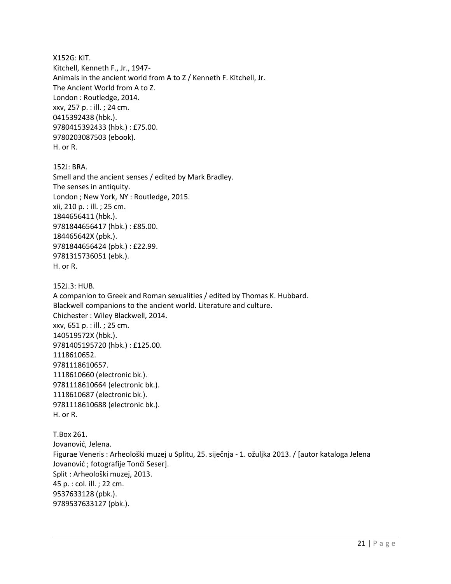X152G: KIT. Kitchell, Kenneth F., Jr., 1947- Animals in the ancient world from A to Z / Kenneth F. Kitchell, Jr. The Ancient World from A to Z. London : Routledge, 2014. xxv, 257 p. : ill. ; 24 cm. 0415392438 (hbk.). 9780415392433 (hbk.) : £75.00. 9780203087503 (ebook). H. or R.

152J: BRA. Smell and the ancient senses / edited by Mark Bradley. The senses in antiquity. London ; New York, NY : Routledge, 2015. xii, 210 p. : ill. ; 25 cm. 1844656411 (hbk.). 9781844656417 (hbk.) : £85.00. 184465642X (pbk.). 9781844656424 (pbk.) : £22.99. 9781315736051 (ebk.). H. or R.

152J.3: HUB. A companion to Greek and Roman sexualities / edited by Thomas K. Hubbard. Blackwell companions to the ancient world. Literature and culture. Chichester : Wiley Blackwell, 2014. xxv, 651 p. : ill. ; 25 cm. 140519572X (hbk.). 9781405195720 (hbk.) : £125.00. 1118610652. 9781118610657. 1118610660 (electronic bk.). 9781118610664 (electronic bk.). 1118610687 (electronic bk.). 9781118610688 (electronic bk.). H. or R.

T.Box 261. Jovanović, Jelena. Figurae Veneris : Arheološki muzej u Splitu, 25. siječnja - 1. ožuljka 2013. / [autor kataloga Jelena Jovanović ; fotografije Tonči Seser]. Split : Arheološki muzej, 2013. 45 p. : col. ill. ; 22 cm. 9537633128 (pbk.). 9789537633127 (pbk.).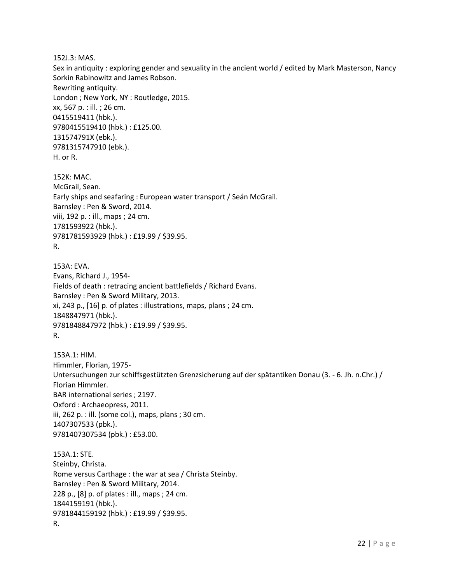152J.3: MAS.

Sex in antiquity : exploring gender and sexuality in the ancient world / edited by Mark Masterson, Nancy Sorkin Rabinowitz and James Robson.

Rewriting antiquity.

London ; New York, NY : Routledge, 2015. xx, 567 p. : ill. ; 26 cm. 0415519411 (hbk.). 9780415519410 (hbk.) : £125.00. 131574791X (ebk.). 9781315747910 (ebk.). H. or R.

152K: MAC. McGrail, Sean. Early ships and seafaring : European water transport / Seán McGrail. Barnsley : Pen & Sword, 2014. viii, 192 p. : ill., maps ; 24 cm. 1781593922 (hbk.). 9781781593929 (hbk.) : £19.99 / \$39.95. R.

153A: EVA. Evans, Richard J., 1954- Fields of death : retracing ancient battlefields / Richard Evans. Barnsley : Pen & Sword Military, 2013. xi, 243 p., [16] p. of plates : illustrations, maps, plans ; 24 cm. 1848847971 (hbk.). 9781848847972 (hbk.) : £19.99 / \$39.95. R.

153A.1: HIM. Himmler, Florian, 1975- Untersuchungen zur schiffsgestützten Grenzsicherung auf der spätantiken Donau (3. - 6. Jh. n.Chr.) / Florian Himmler. BAR international series ; 2197. Oxford : Archaeopress, 2011. iii, 262 p. : ill. (some col.), maps, plans ; 30 cm. 1407307533 (pbk.). 9781407307534 (pbk.) : £53.00.

153A.1: STE. Steinby, Christa. Rome versus Carthage : the war at sea / Christa Steinby. Barnsley : Pen & Sword Military, 2014. 228 p., [8] p. of plates : ill., maps ; 24 cm. 1844159191 (hbk.). 9781844159192 (hbk.) : £19.99 / \$39.95. R.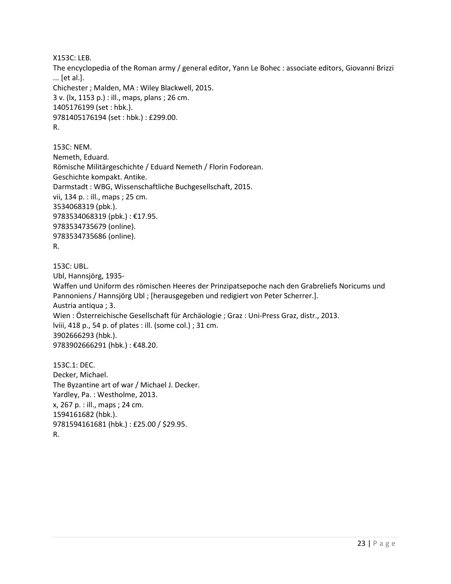X153C: LEB.

The encyclopedia of the Roman army / general editor, Yann Le Bohec : associate editors, Giovanni Brizzi ... [et al.]. Chichester ; Malden, MA : Wiley Blackwell, 2015. 3 v. (lx, 1153 p.) : ill., maps, plans ; 26 cm. 1405176199 (set : hbk.). 9781405176194 (set : hbk.) : £299.00. R.

153C: NEM. Nemeth, Eduard. Römische Militärgeschichte / Eduard Nemeth / Florin Fodorean. Geschichte kompakt. Antike. Darmstadt : WBG, Wissenschaftliche Buchgesellschaft, 2015. vii, 134 p. : ill., maps ; 25 cm. 3534068319 (pbk.). 9783534068319 (pbk.) : €17.95. 9783534735679 (online). 9783534735686 (online). R.

```
153C: UBL.
```
Ubl, Hannsjörg, 1935-

Waffen und Uniform des römischen Heeres der Prinzipatsepoche nach den Grabreliefs Noricums und Pannoniens / Hannsjörg Ubl ; [herausgegeben und redigiert von Peter Scherrer.]. Austria antiqua ; 3. Wien : Österreichische Gesellschaft für Archäologie ; Graz : Uni-Press Graz, distr., 2013. lviii, 418 p., 54 p. of plates : ill. (some col.) ; 31 cm. 3902666293 (hbk.). 9783902666291 (hbk.) : €48.20.

153C.1: DEC. Decker, Michael. The Byzantine art of war / Michael J. Decker. Yardley, Pa. : Westholme, 2013. x, 267 p. : ill., maps ; 24 cm. 1594161682 (hbk.). 9781594161681 (hbk.) : £25.00 / \$29.95. R.